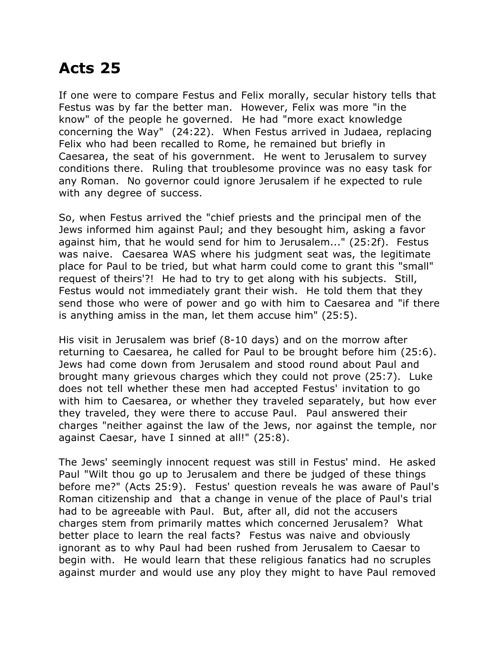## **Acts 25**

If one were to compare Festus and Felix morally, secular history tells that Festus was by far the better man. However, Felix was more "in the know" of the people he governed. He had "more exact knowledge concerning the Way" (24:22). When Festus arrived in Judaea, replacing Felix who had been recalled to Rome, he remained but briefly in Caesarea, the seat of his government. He went to Jerusalem to survey conditions there. Ruling that troublesome province was no easy task for any Roman. No governor could ignore Jerusalem if he expected to rule with any degree of success.

So, when Festus arrived the "chief priests and the principal men of the Jews informed him against Paul; and they besought him, asking a favor against him, that he would send for him to Jerusalem..." (25:2f). Festus was naive. Caesarea WAS where his judgment seat was, the legitimate place for Paul to be tried, but what harm could come to grant this "small" request of theirs'?! He had to try to get along with his subjects. Still, Festus would not immediately grant their wish. He told them that they send those who were of power and go with him to Caesarea and "if there is anything amiss in the man, let them accuse him" (25:5).

His visit in Jerusalem was brief (8-10 days) and on the morrow after returning to Caesarea, he called for Paul to be brought before him (25:6). Jews had come down from Jerusalem and stood round about Paul and brought many grievous charges which they could not prove (25:7). Luke does not tell whether these men had accepted Festus' invitation to go with him to Caesarea, or whether they traveled separately, but how ever they traveled, they were there to accuse Paul. Paul answered their charges "neither against the law of the Jews, nor against the temple, nor against Caesar, have I sinned at all!" (25:8).

The Jews' seemingly innocent request was still in Festus' mind. He asked Paul "Wilt thou go up to Jerusalem and there be judged of these things before me?" (Acts 25:9). Festus' question reveals he was aware of Paul's Roman citizenship and that a change in venue of the place of Paul's trial had to be agreeable with Paul. But, after all, did not the accusers charges stem from primarily mattes which concerned Jerusalem? What better place to learn the real facts? Festus was naive and obviously ignorant as to why Paul had been rushed from Jerusalem to Caesar to begin with. He would learn that these religious fanatics had no scruples against murder and would use any ploy they might to have Paul removed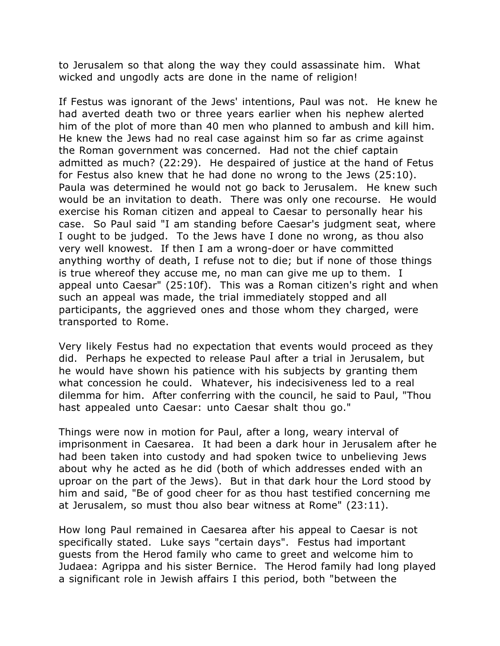to Jerusalem so that along the way they could assassinate him. What wicked and ungodly acts are done in the name of religion!

If Festus was ignorant of the Jews' intentions, Paul was not. He knew he had averted death two or three years earlier when his nephew alerted him of the plot of more than 40 men who planned to ambush and kill him. He knew the Jews had no real case against him so far as crime against the Roman government was concerned. Had not the chief captain admitted as much? (22:29). He despaired of justice at the hand of Fetus for Festus also knew that he had done no wrong to the Jews (25:10). Paula was determined he would not go back to Jerusalem. He knew such would be an invitation to death. There was only one recourse. He would exercise his Roman citizen and appeal to Caesar to personally hear his case. So Paul said "I am standing before Caesar's judgment seat, where I ought to be judged. To the Jews have I done no wrong, as thou also very well knowest. If then I am a wrong-doer or have committed anything worthy of death, I refuse not to die; but if none of those things is true whereof they accuse me, no man can give me up to them. I appeal unto Caesar" (25:10f). This was a Roman citizen's right and when such an appeal was made, the trial immediately stopped and all participants, the aggrieved ones and those whom they charged, were transported to Rome.

Very likely Festus had no expectation that events would proceed as they did. Perhaps he expected to release Paul after a trial in Jerusalem, but he would have shown his patience with his subjects by granting them what concession he could. Whatever, his indecisiveness led to a real dilemma for him. After conferring with the council, he said to Paul, "Thou hast appealed unto Caesar: unto Caesar shalt thou go."

Things were now in motion for Paul, after a long, weary interval of imprisonment in Caesarea. It had been a dark hour in Jerusalem after he had been taken into custody and had spoken twice to unbelieving Jews about why he acted as he did (both of which addresses ended with an uproar on the part of the Jews). But in that dark hour the Lord stood by him and said, "Be of good cheer for as thou hast testified concerning me at Jerusalem, so must thou also bear witness at Rome" (23:11).

How long Paul remained in Caesarea after his appeal to Caesar is not specifically stated. Luke says "certain days". Festus had important guests from the Herod family who came to greet and welcome him to Judaea: Agrippa and his sister Bernice. The Herod family had long played a significant role in Jewish affairs I this period, both "between the